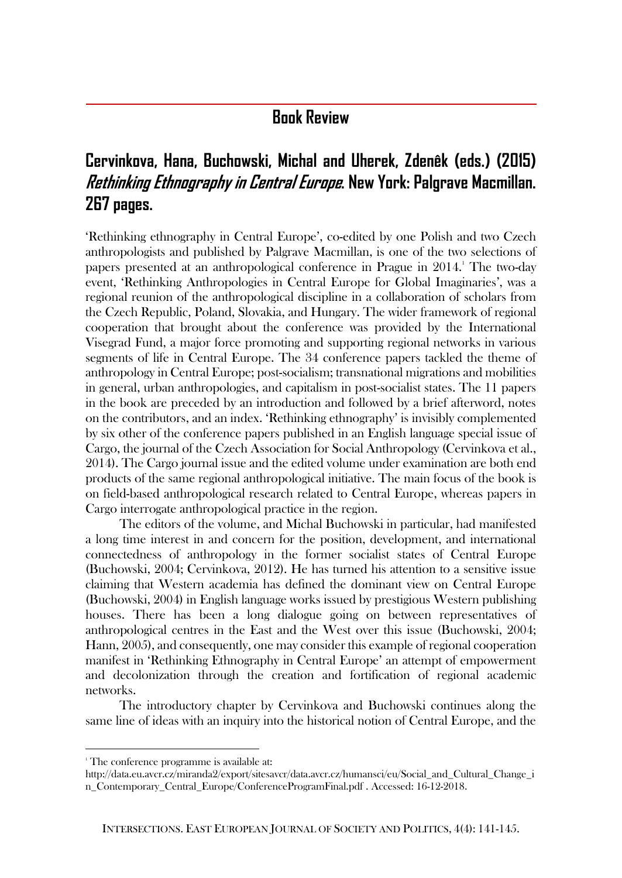## **Book Review**

## **Cervinkova, Hana, Buchowski, Michal and Uherek, Zdenêk (eds.) (2015) Rethinking Ethnography in Central Europe. New York: Palgrave Macmillan. 267 pages.**

'Rethinking ethnography in Central Europe', co-edited by one Polish and two Czech anthropologists and published by Palgrave Macmillan, is one of the two selections of papers presented at an anthropological conference in Prague in  $2014$ .<sup>1</sup> The two-day event, 'Rethinking Anthropologies in Central Europe for Global Imaginaries', was a regional reunion of the anthropological discipline in a collaboration of scholars from the Czech Republic, Poland, Slovakia, and Hungary. The wider framework of regional cooperation that brought about the conference was provided by the International Visegrad Fund, a major force promoting and supporting regional networks in various segments of life in Central Europe. The 34 conference papers tackled the theme of anthropology in Central Europe; post-socialism; transnational migrations and mobilities in general, urban anthropologies, and capitalism in post-socialist states. The 11 papers in the book are preceded by an introduction and followed by a brief afterword, notes on the contributors, and an index. 'Rethinking ethnography' is invisibly complemented by six other of the conference papers published in an English language special issue of Cargo, the journal of the Czech Association for Social Anthropology (Cervinkova et al., 2014). The Cargo journal issue and the edited volume under examination are both end products of the same regional anthropological initiative. The main focus of the book is on field-based anthropological research related to Central Europe, whereas papers in Cargo interrogate anthropological practice in the region.

The editors of the volume, and Michal Buchowski in particular, had manifested a long time interest in and concern for the position, development, and international connectedness of anthropology in the former socialist states of Central Europe (Buchowski, 2004; Cervinkova, 2012). He has turned his attention to a sensitive issue claiming that Western academia has defined the dominant view on Central Europe (Buchowski, 2004) in English language works issued by prestigious Western publishing houses. There has been a long dialogue going on between representatives of anthropological centres in the East and the West over this issue (Buchowski, 2004; Hann, 2005), and consequently, one may consider this example of regional cooperation manifest in 'Rethinking Ethnography in Central Europe' an attempt of empowerment and decolonization through the creation and fortification of regional academic networks.

The introductory chapter by Cervinkova and Buchowski continues along the same line of ideas with an inquiry into the historical notion of Central Europe, and the

 $\overline{a}$ 

<sup>&</sup>lt;sup>1</sup> The conference programme is available at:

[http://data.eu.avcr.cz/miranda2/export/sitesavcr/data.avcr.cz/humansci/eu/Social\\_and\\_Cultural\\_Change\\_i](http://data.eu.avcr.cz/miranda2/export/sitesavcr/data.avcr.cz/humansci/eu/Social_and_Cultural_Change_in_Contemporary_Central_Europe/ConferenceProgramFinal.pdf) [n\\_Contemporary\\_Central\\_Europe/ConferenceProgramFinal.pdf](http://data.eu.avcr.cz/miranda2/export/sitesavcr/data.avcr.cz/humansci/eu/Social_and_Cultural_Change_in_Contemporary_Central_Europe/ConferenceProgramFinal.pdf) . Accessed: 16-12-2018.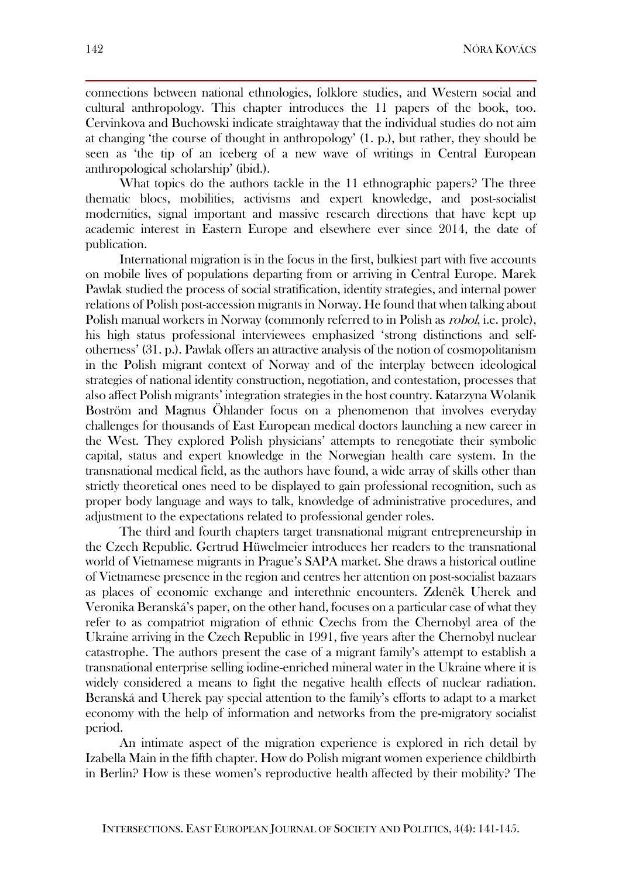connections between national ethnologies, folklore studies, and Western social and cultural anthropology. This chapter introduces the 11 papers of the book, too. Cervinkova and Buchowski indicate straightaway that the individual studies do not aim at changing 'the course of thought in anthropology' (1. p.), but rather, they should be seen as 'the tip of an iceberg of a new wave of writings in Central European anthropological scholarship' (ibid.).

What topics do the authors tackle in the 11 ethnographic papers? The three thematic blocs, mobilities, activisms and expert knowledge, and post-socialist modernities, signal important and massive research directions that have kept up academic interest in Eastern Europe and elsewhere ever since 2014, the date of publication.

International migration is in the focus in the first, bulkiest part with five accounts on mobile lives of populations departing from or arriving in Central Europe. Marek Pawlak studied the process of social stratification, identity strategies, and internal power relations of Polish post-accession migrants in Norway. He found that when talking about Polish manual workers in Norway (commonly referred to in Polish as *robol*, i.e. prole), his high status professional interviewees emphasized 'strong distinctions and selfotherness' (31. p.). Pawlak offers an attractive analysis of the notion of cosmopolitanism in the Polish migrant context of Norway and of the interplay between ideological strategies of national identity construction, negotiation, and contestation, processes that also affect Polish migrants' integration strategies in the host country. Katarzyna Wolanik Boström and Magnus Öhlander focus on a phenomenon that involves everyday challenges for thousands of East European medical doctors launching a new career in the West. They explored Polish physicians' attempts to renegotiate their symbolic capital, status and expert knowledge in the Norwegian health care system. In the transnational medical field, as the authors have found, a wide array of skills other than strictly theoretical ones need to be displayed to gain professional recognition, such as proper body language and ways to talk, knowledge of administrative procedures, and adjustment to the expectations related to professional gender roles.

The third and fourth chapters target transnational migrant entrepreneurship in the Czech Republic. Gertrud Hüwelmeier introduces her readers to the transnational world of Vietnamese migrants in Prague's SAPA market. She draws a historical outline of Vietnamese presence in the region and centres her attention on post-socialist bazaars as places of economic exchange and interethnic encounters. Zdenêk Uherek and Veronika Beranská's paper, on the other hand, focuses on a particular case of what they refer to as compatriot migration of ethnic Czechs from the Chernobyl area of the Ukraine arriving in the Czech Republic in 1991, five years after the Chernobyl nuclear catastrophe. The authors present the case of a migrant family's attempt to establish a transnational enterprise selling iodine-enriched mineral water in the Ukraine where it is widely considered a means to fight the negative health effects of nuclear radiation. Beranská and Uherek pay special attention to the family's efforts to adapt to a market economy with the help of information and networks from the pre-migratory socialist period.

An intimate aspect of the migration experience is explored in rich detail by Izabella Main in the fifth chapter. How do Polish migrant women experience childbirth in Berlin? How is these women's reproductive health affected by their mobility? The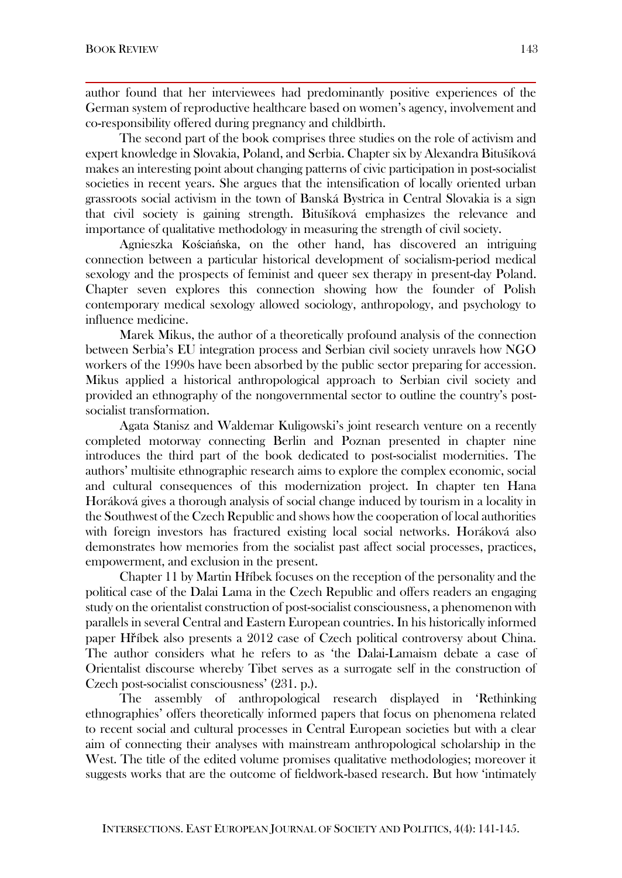author found that her interviewees had predominantly positive experiences of the German system of reproductive healthcare based on women's agency, involvement and co-responsibility offered during pregnancy and childbirth.

The second part of the book comprises three studies on the role of activism and expert knowledge in Slovakia, Poland, and Serbia. Chapter six by Alexandra Bitušíková makes an interesting point about changing patterns of civic participation in post-socialist societies in recent years. She argues that the intensification of locally oriented urban grassroots social activism in the town of Banská Bystrica in Central Slovakia is a sign that civil society is gaining strength. Bitušíková emphasizes the relevance and importance of qualitative methodology in measuring the strength of civil society.

Agnieszka Kościańska, on the other hand, has discovered an intriguing connection between a particular historical development of socialism-period medical sexology and the prospects of feminist and queer sex therapy in present-day Poland. Chapter seven explores this connection showing how the founder of Polish contemporary medical sexology allowed sociology, anthropology, and psychology to influence medicine.

Marek Mikus, the author of a theoretically profound analysis of the connection between Serbia's EU integration process and Serbian civil society unravels how NGO workers of the 1990s have been absorbed by the public sector preparing for accession. Mikus applied a historical anthropological approach to Serbian civil society and provided an ethnography of the nongovernmental sector to outline the country's postsocialist transformation.

Agata Stanisz and Waldemar Kuligowski's joint research venture on a recently completed motorway connecting Berlin and Poznan presented in chapter nine introduces the third part of the book dedicated to post-socialist modernities. The authors' multisite ethnographic research aims to explore the complex economic, social and cultural consequences of this modernization project. In chapter ten Hana Horáková gives a thorough analysis of social change induced by tourism in a locality in the Southwest of the Czech Republic and shows how the cooperation of local authorities with foreign investors has fractured existing local social networks. Horáková also demonstrates how memories from the socialist past affect social processes, practices, empowerment, and exclusion in the present.

Chapter 11 by Martin Hříbek focuses on the reception of the personality and the political case of the Dalai Lama in the Czech Republic and offers readers an engaging study on the orientalist construction of post-socialist consciousness, a phenomenon with parallels in several Central and Eastern European countries. In his historically informed paper Hříbek also presents a 2012 case of Czech political controversy about China. The author considers what he refers to as 'the Dalai-Lamaism debate a case of Orientalist discourse whereby Tibet serves as a surrogate self in the construction of Czech post-socialist consciousness' (231. p.).

The assembly of anthropological research displayed in 'Rethinking ethnographies' offers theoretically informed papers that focus on phenomena related to recent social and cultural processes in Central European societies but with a clear aim of connecting their analyses with mainstream anthropological scholarship in the West. The title of the edited volume promises qualitative methodologies; moreover it suggests works that are the outcome of fieldwork-based research. But how 'intimately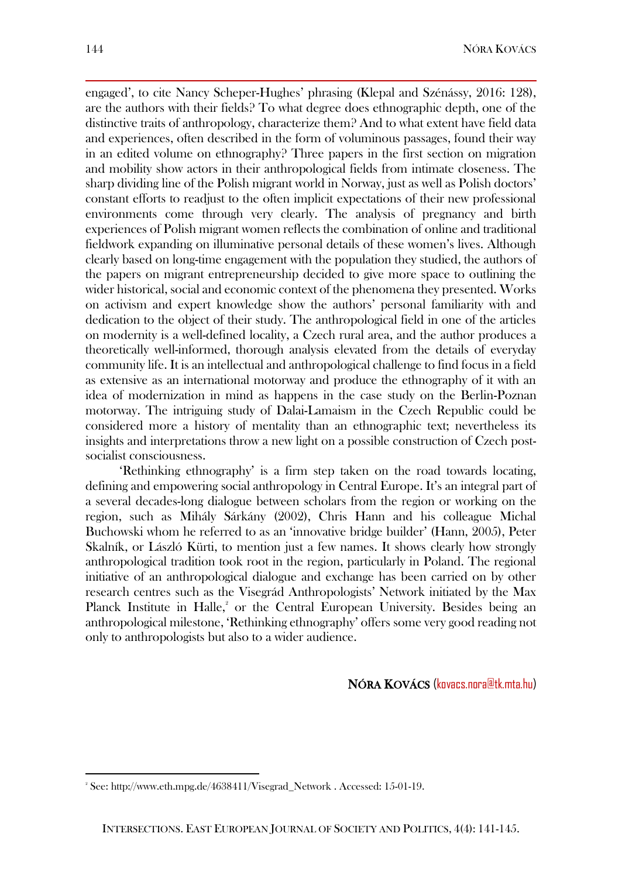engaged', to cite Nancy Scheper-Hughes' phrasing (Klepal and Szénássy, 2016: 128), are the authors with their fields? To what degree does ethnographic depth, one of the distinctive traits of anthropology, characterize them? And to what extent have field data and experiences, often described in the form of voluminous passages, found their way in an edited volume on ethnography? Three papers in the first section on migration and mobility show actors in their anthropological fields from intimate closeness. The sharp dividing line of the Polish migrant world in Norway, just as well as Polish doctors' constant efforts to readjust to the often implicit expectations of their new professional environments come through very clearly. The analysis of pregnancy and birth experiences of Polish migrant women reflects the combination of online and traditional fieldwork expanding on illuminative personal details of these women's lives. Although clearly based on long-time engagement with the population they studied, the authors of the papers on migrant entrepreneurship decided to give more space to outlining the wider historical, social and economic context of the phenomena they presented. Works on activism and expert knowledge show the authors' personal familiarity with and dedication to the object of their study. The anthropological field in one of the articles on modernity is a well-defined locality, a Czech rural area, and the author produces a theoretically well-informed, thorough analysis elevated from the details of everyday community life. It is an intellectual and anthropological challenge to find focus in a field as extensive as an international motorway and produce the ethnography of it with an idea of modernization in mind as happens in the case study on the Berlin-Poznan motorway. The intriguing study of Dalai-Lamaism in the Czech Republic could be considered more a history of mentality than an ethnographic text; nevertheless its insights and interpretations throw a new light on a possible construction of Czech postsocialist consciousness.

'Rethinking ethnography' is a firm step taken on the road towards locating, defining and empowering social anthropology in Central Europe. It's an integral part of a several decades-long dialogue between scholars from the region or working on the region, such as Mihály Sárkány (2002), Chris Hann and his colleague Michal Buchowski whom he referred to as an 'innovative bridge builder' (Hann, 2005), Peter Skalník, or László Kürti, to mention just a few names. It shows clearly how strongly anthropological tradition took root in the region, particularly in Poland. The regional initiative of an anthropological dialogue and exchange has been carried on by other research centres such as the Visegrád Anthropologists' Network initiated by the Max Planck Institute in Halle,<sup>2</sup> or the Central European University. Besides being an anthropological milestone, 'Rethinking ethnography' offers some very good reading not only to anthropologists but also to a wider audience.

NÓRA KOVÁCS (kovacs.nora@tk.mta.hu)

 $\overline{a}$ 

<sup>2</sup> See: [http://www.eth.mpg.de/4638411/Visegrad\\_Network](http://www.eth.mpg.de/4638411/Visegrad_Network) . Accessed: 15-01-19.